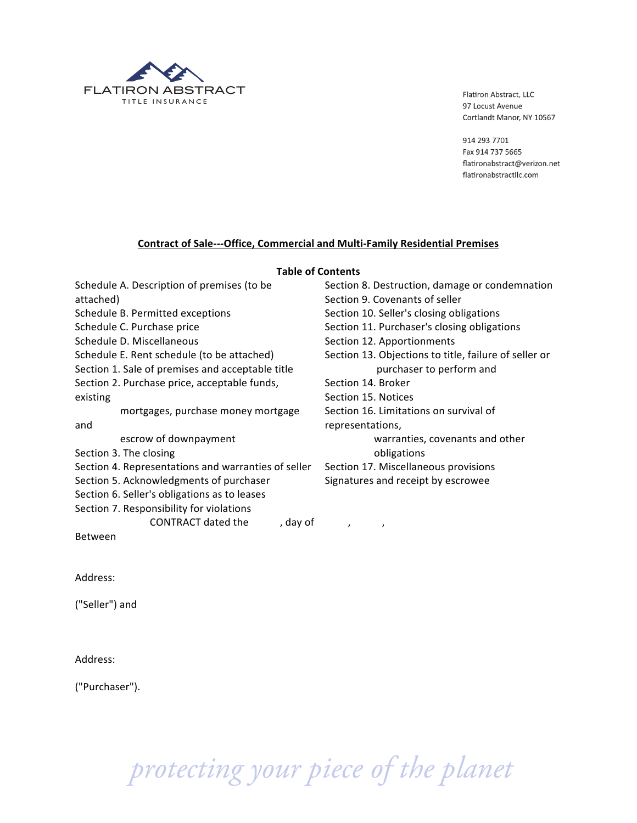

914 293 7701 Fax 914 737 5665 flatironabstract@verizon.net flatironabstractllc.com

# **Contract of Sale---Office, Commercial and Multi-Family Residential Premises**

#### **Table of Contents**

| Schedule A. Description of premises (to be          | Section 8. Destruction, damage or condemnation        |  |  |  |
|-----------------------------------------------------|-------------------------------------------------------|--|--|--|
| attached)                                           | Section 9. Covenants of seller                        |  |  |  |
| Schedule B. Permitted exceptions                    | Section 10. Seller's closing obligations              |  |  |  |
| Schedule C. Purchase price                          | Section 11. Purchaser's closing obligations           |  |  |  |
| Schedule D. Miscellaneous                           | Section 12. Apportionments                            |  |  |  |
| Schedule E. Rent schedule (to be attached)          | Section 13. Objections to title, failure of seller or |  |  |  |
| Section 1. Sale of premises and acceptable title    | purchaser to perform and                              |  |  |  |
| Section 2. Purchase price, acceptable funds,        | Section 14. Broker                                    |  |  |  |
| existing                                            | Section 15. Notices                                   |  |  |  |
| mortgages, purchase money mortgage                  | Section 16. Limitations on survival of                |  |  |  |
| and                                                 | representations,                                      |  |  |  |
| escrow of downpayment                               | warranties, covenants and other                       |  |  |  |
| Section 3. The closing                              | obligations                                           |  |  |  |
| Section 4. Representations and warranties of seller | Section 17. Miscellaneous provisions                  |  |  |  |
| Section 5. Acknowledgments of purchaser             | Signatures and receipt by escrowee                    |  |  |  |
| Section 6. Seller's obligations as to leases        |                                                       |  |  |  |
| Section 7. Responsibility for violations            |                                                       |  |  |  |
| CONTRACT dated the<br>, day of                      | $\lambda$<br>$\prime$                                 |  |  |  |
| Between                                             |                                                       |  |  |  |

Address:

("Seller") and

Address:

("Purchaser").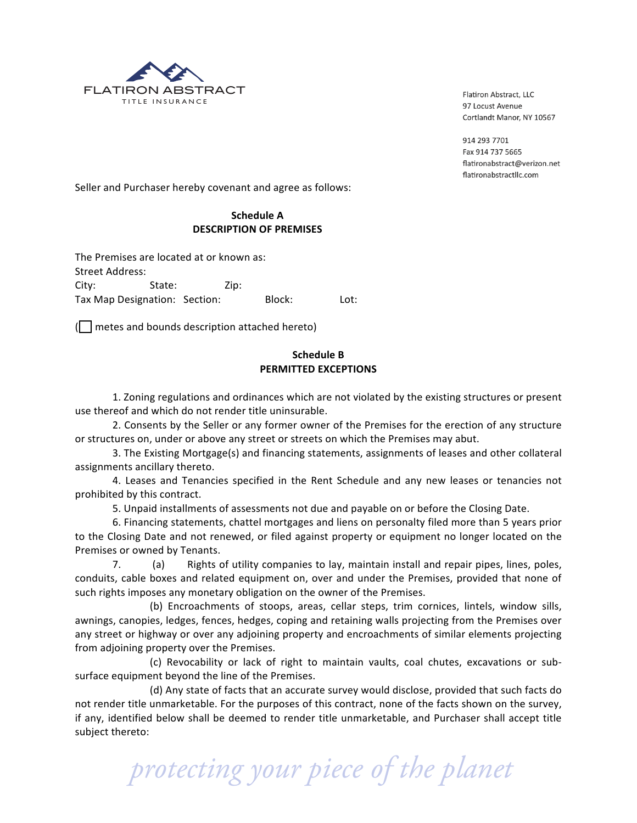

914 293 7701 Fax 914 737 5665 flatironabstract@verizon.net flatironabstractllc.com

Seller and Purchaser hereby covenant and agree as follows:

# **Schedule A DESCRIPTION OF PREMISES**

The Premises are located at or known as: Street Address: City: State: Zip: Tax!Map!Designation:!!!Section: !!!!!!Block: !!!!!!!Lot:

 $\Box$  metes and bounds description attached hereto)

# **Schedule B PERMITTED EXCEPTIONS**

1. Zoning regulations and ordinances which are not violated by the existing structures or present use thereof and which do not render title uninsurable.

2. Consents by the Seller or any former owner of the Premises for the erection of any structure or structures on, under or above any street or streets on which the Premises may abut.

3. The Existing Mortgage(s) and financing statements, assignments of leases and other collateral assignments ancillary thereto.

4. Leases and Tenancies specified in the Rent Schedule and any new leases or tenancies not prohibited by this contract.

5. Unpaid installments of assessments not due and payable on or before the Closing Date.

6. Financing statements, chattel mortgages and liens on personalty filed more than 5 years prior to the Closing Date and not renewed, or filed against property or equipment no longer located on the Premises or owned by Tenants.

7. (a) Rights of utility companies to lay, maintain install and repair pipes, lines, poles, conduits, cable boxes and related equipment on, over and under the Premises, provided that none of such rights imposes any monetary obligation on the owner of the Premises.

(b) Encroachments of stoops, areas, cellar steps, trim cornices, lintels, window sills, awnings, canopies, ledges, fences, hedges, coping and retaining walls projecting from the Premises over any street or highway or over any adjoining property and encroachments of similar elements projecting from adjoining property over the Premises.

(c) Revocability or lack of right to maintain vaults, coal chutes, excavations or subsurface equipment beyond the line of the Premises.

(d) Any state of facts that an accurate survey would disclose, provided that such facts do not render title unmarketable. For the purposes of this contract, none of the facts shown on the survey, if any, identified below shall be deemed to render title unmarketable, and Purchaser shall accept title subject thereto: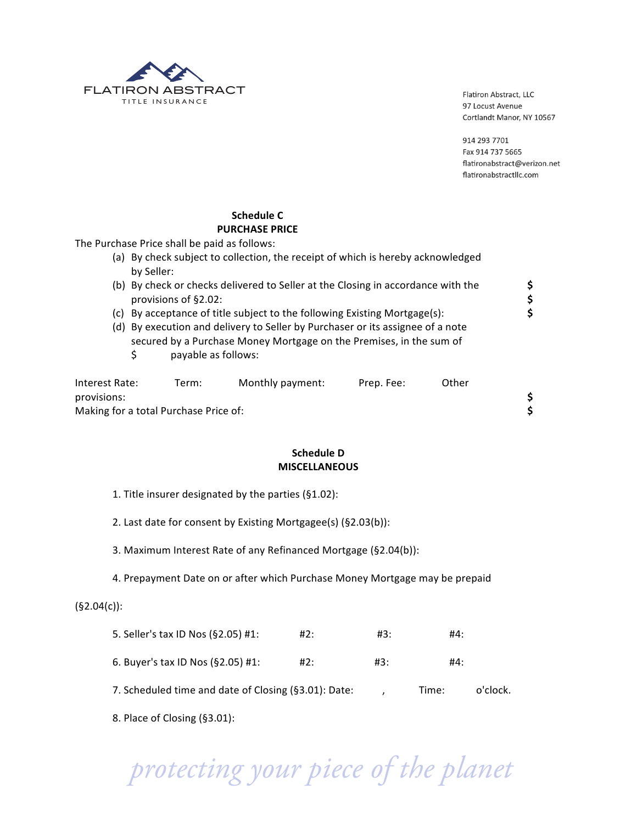

914 293 7701 Fax 914 737 5665 flatironabstract@verizon.net flatironabstractllc.com

\$

# **Schedule C PURCHASE PRICE**

The Purchase Price shall be paid as follows:

|                               | (a) By check subject to collection, the receipt of which is hereby acknowledged<br>by Seller:                                                                                |       |                                                                           |            |       |          |
|-------------------------------|------------------------------------------------------------------------------------------------------------------------------------------------------------------------------|-------|---------------------------------------------------------------------------|------------|-------|----------|
|                               | (b) By check or checks delivered to Seller at the Closing in accordance with the<br>provisions of §2.02:                                                                     |       |                                                                           |            |       | \$<br>\$ |
|                               |                                                                                                                                                                              |       | (c) By acceptance of title subject to the following Existing Mortgage(s): |            |       | \$       |
|                               | (d) By execution and delivery to Seller by Purchaser or its assignee of a note<br>secured by a Purchase Money Mortgage on the Premises, in the sum of<br>payable as follows: |       |                                                                           |            |       |          |
| Interest Rate:<br>provisions: |                                                                                                                                                                              | Term: | Monthly payment:                                                          | Prep. Fee: | Other |          |

Making for a total Purchase Price of:

# **Schedule D MISCELLANEOUS**

- 1. Title insurer designated by the parties (§1.02):
- 2. Last date for consent by Existing Mortgagee(s) (§2.03(b)):
- 3. Maximum Interest Rate of any Refinanced Mortgage (§2.04(b)):
- 4. Prepayment Date on or after which Purchase Money Mortgage may be prepaid

# $(§2.04(c))$ :

| 7. Scheduled time and date of Closing (§3.01): Date: |     |     | Time: | o'clock. |
|------------------------------------------------------|-----|-----|-------|----------|
| 6. Buyer's tax ID Nos $(S2.05)$ #1:                  | #2: | #3: | #4:   |          |
| 5. Seller's tax ID Nos (§2.05) #1:                   | #2: | #3: | #4:   |          |

8. Place of Closing (§3.01):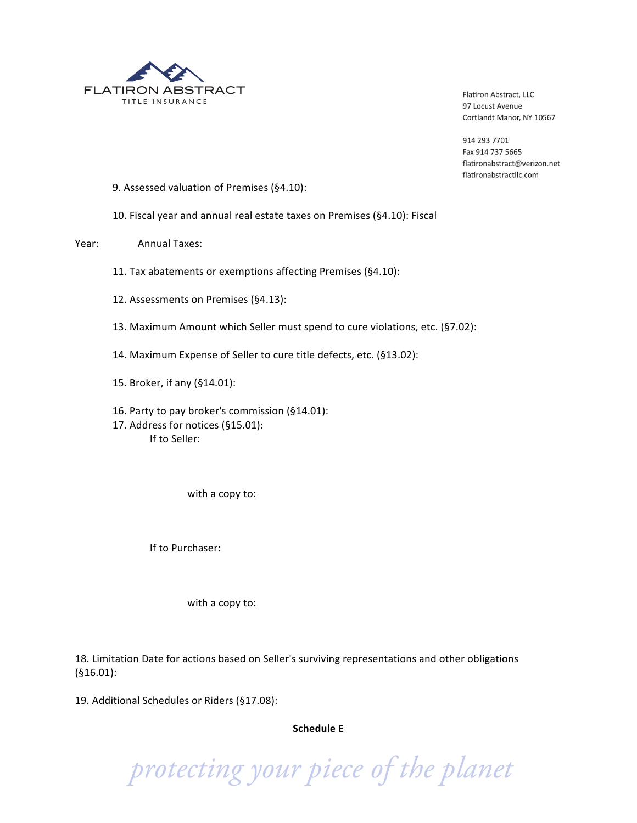

914 293 7701 Fax 914 737 5665 flatironabstract@verizon.net flatironabstractllc.com

- 9. Assessed valuation of Premises (§4.10):
- 10. Fiscal year and annual real estate taxes on Premises (§4.10): Fiscal
- Year: Annual Taxes:
	- 11. Tax abatements or exemptions affecting Premises (§4.10):
	- 12. Assessments on Premises (§4.13):
	- 13. Maximum Amount which Seller must spend to cure violations, etc. (§7.02):
	- 14. Maximum Expense of Seller to cure title defects, etc. (§13.02):
	- 15. Broker, if any (§14.01):
	- 16. Party to pay broker's commission (§14.01): 17. Address for notices (§15.01): If to Seller:

with a copy to:

If to Purchaser:

with a copy to:

18. Limitation Date for actions based on Seller's surviving representations and other obligations (§16.01):

19. Additional Schedules or Riders (§17.08):

# **Schedule F**

 *protecting your piece of the planet*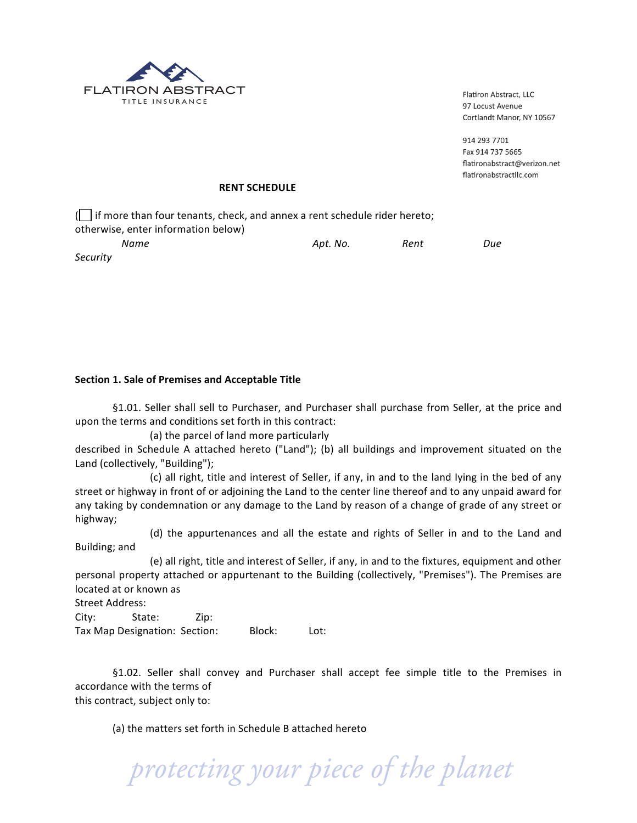

914 293 7701 Fax 914 737 5665 flatironabstract@verizon.net flatironabstractllc.com

### **RENT SCHEDULE**

( $\Box$  if more than four tenants, check, and annex a rent schedule rider hereto; otherwise, enter information below)

| Name     | Apt. No. | Rent | Due |  |
|----------|----------|------|-----|--|
| Security |          |      |     |  |

# Section 1. Sale of Premises and Acceptable Title

§1.01. Seller shall sell to Purchaser, and Purchaser shall purchase from Seller, at the price and upon the terms and conditions set forth in this contract:

(a) the parcel of land more particularly

described in Schedule A attached hereto ("Land"); (b) all buildings and improvement situated on the Land (collectively, "Building");

(c) all right, title and interest of Seller, if any, in and to the land lying in the bed of any street or highway in front of or adjoining the Land to the center line thereof and to any unpaid award for any taking by condemnation or any damage to the Land by reason of a change of grade of any street or highway;

(d) the appurtenances and all the estate and rights of Seller in and to the Land and Building; and

(e) all right, title and interest of Seller, if any, in and to the fixtures, equipment and other personal property attached or appurtenant to the Building (collectively, "Premises"). The Premises are located at or known as

Street Address:

City: State: Zip: Tax Map Designation: Section: Block: Lot:

§1.02. Seller shall convey and Purchaser shall accept fee simple title to the Premises in accordance with the terms of this contract, subject only to:

(a) the matters set forth in Schedule B attached hereto

 *protecting your piece of the planet*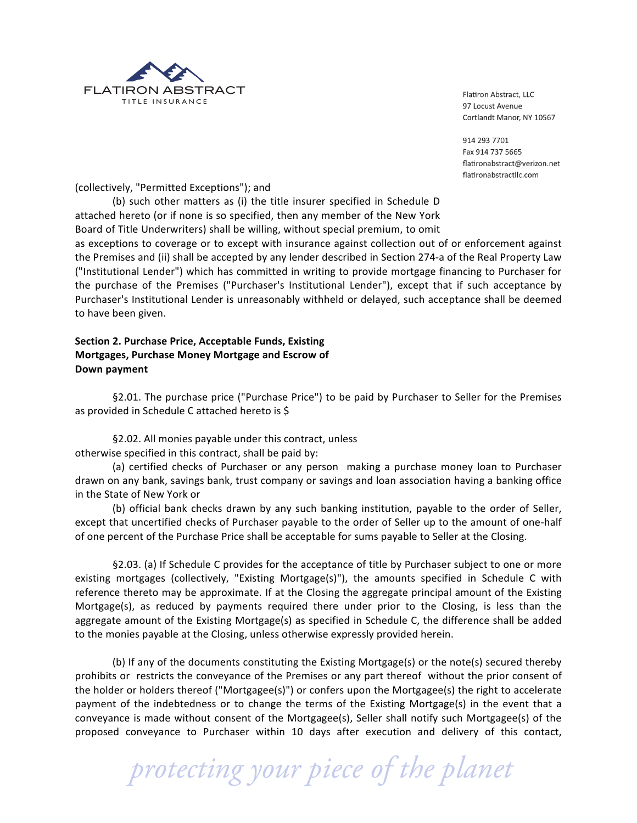

914 293 7701 Fax 914 737 5665 flatironabstract@verizon.net flatironabstractllc.com

(collectively, "Permitted Exceptions"); and

(b) such other matters as (i) the title insurer specified in Schedule D attached hereto (or if none is so specified, then any member of the New York Board of Title Underwriters) shall be willing, without special premium, to omit

as exceptions to coverage or to except with insurance against collection out of or enforcement against the Premises and (ii) shall be accepted by any lender described in Section 274-a of the Real Property Law ("Institutional Lender") which has committed in writing to provide mortgage financing to Purchaser for the purchase of the Premises ("Purchaser's Institutional Lender"), except that if such acceptance by Purchaser's Institutional Lender is unreasonably withheld or delayed, such acceptance shall be deemed to have been given.

# Section 2. Purchase Price, Acceptable Funds, Existing **Mortgages, Purchase Money Mortgage and Escrow of Down(payment**

§2.01. The purchase price ("Purchase Price") to be paid by Purchaser to Seller for the Premises as provided in Schedule C attached hereto is \$

§2.02. All monies payable under this contract, unless otherwise specified in this contract, shall be paid by:

(a) certified checks of Purchaser or any person making a purchase money loan to Purchaser drawn on any bank, savings bank, trust company or savings and loan association having a banking office in the State of New York or

(b) official bank checks drawn by any such banking institution, payable to the order of Seller, except that uncertified checks of Purchaser payable to the order of Seller up to the amount of one-half of one percent of the Purchase Price shall be acceptable for sums payable to Seller at the Closing.

§2.03. (a) If Schedule C provides for the acceptance of title by Purchaser subject to one or more existing mortgages (collectively, "Existing Mortgage(s)"), the amounts specified in Schedule C with reference thereto may be approximate. If at the Closing the aggregate principal amount of the Existing Mortgage(s), as reduced by payments required there under prior to the Closing, is less than the aggregate amount of the Existing Mortgage(s) as specified in Schedule C, the difference shall be added to the monies payable at the Closing, unless otherwise expressly provided herein.

(b) If any of the documents constituting the Existing Mortgage(s) or the note(s) secured thereby prohibits or restricts the conveyance of the Premises or any part thereof without the prior consent of the holder or holders thereof ("Mortgagee(s)") or confers upon the Mortgagee(s) the right to accelerate payment of the indebtedness or to change the terms of the Existing Mortgage(s) in the event that a conveyance is made without consent of the Mortgagee(s), Seller shall notify such Mortgagee(s) of the proposed conveyance to Purchaser within 10 days after execution and delivery of this contact,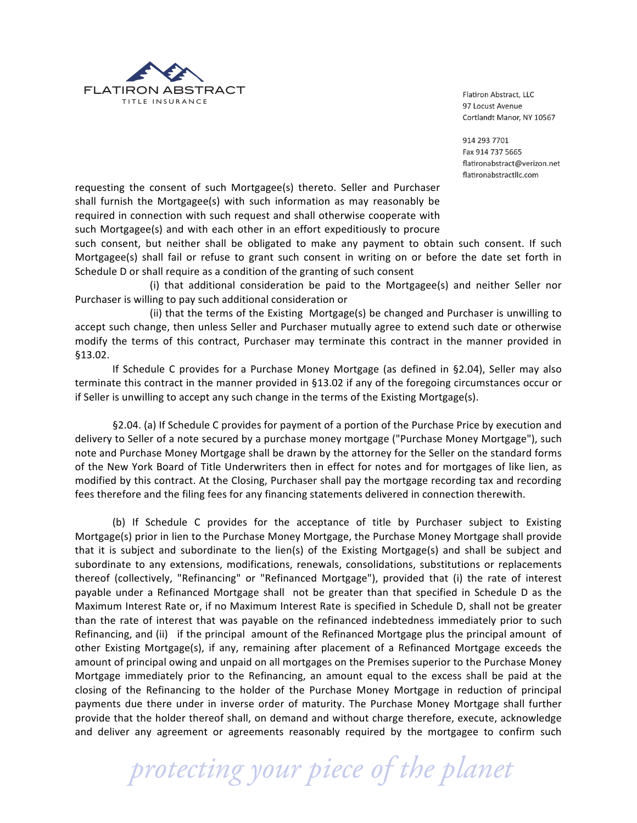

914 293 7701 Fax 914 737 5665 flatironabstract@verizon.net flatironabstractllc.com

requesting the consent of such Mortgagee(s) thereto. Seller and Purchaser shall furnish the Mortgagee(s) with such information as may reasonably be required in connection with such request and shall otherwise cooperate with such Mortgagee(s) and with each other in an effort expeditiously to procure

such consent, but neither shall be obligated to make any payment to obtain such consent. If such Mortgagee(s) shall fail or refuse to grant such consent in writing on or before the date set forth in Schedule D or shall require as a condition of the granting of such consent

(i) that additional consideration be paid to the Mortgagee(s) and neither Seller nor Purchaser is willing to pay such additional consideration or

(ii) that the terms of the Existing Mortgage(s) be changed and Purchaser is unwilling to accept such change, then unless Seller and Purchaser mutually agree to extend such date or otherwise modify the terms of this contract, Purchaser may terminate this contract in the manner provided in §13.02.

If Schedule C provides for a Purchase Money Mortgage (as defined in §2.04), Seller may also terminate this contract in the manner provided in §13.02 if any of the foregoing circumstances occur or if Seller is unwilling to accept any such change in the terms of the Existing Mortgage(s).

§2.04. (a) If Schedule C provides for payment of a portion of the Purchase Price by execution and delivery to Seller of a note secured by a purchase money mortgage ("Purchase Money Mortgage"), such note and Purchase Money Mortgage shall be drawn by the attorney for the Seller on the standard forms of the New York Board of Title Underwriters then in effect for notes and for mortgages of like lien, as modified by this contract. At the Closing, Purchaser shall pay the mortgage recording tax and recording fees therefore and the filing fees for any financing statements delivered in connection therewith.

(b) If Schedule C provides for the acceptance of title by Purchaser subject to Existing Mortgage(s) prior in lien to the Purchase Money Mortgage, the Purchase Money Mortgage shall provide that it is subject and subordinate to the lien(s) of the Existing Mortgage(s) and shall be subject and subordinate to any extensions, modifications, renewals, consolidations, substitutions or replacements thereof (collectively, "Refinancing" or "Refinanced Mortgage"), provided that (i) the rate of interest payable under a Refinanced Mortgage shall not be greater than that specified in Schedule D as the Maximum Interest Rate or, if no Maximum Interest Rate is specified in Schedule D, shall not be greater than the rate of interest that was payable on the refinanced indebtedness immediately prior to such Refinancing, and (ii) if the principal amount of the Refinanced Mortgage plus the principal amount of other Existing Mortgage(s), if any, remaining after placement of a Refinanced Mortgage exceeds the amount of principal owing and unpaid on all mortgages on the Premises superior to the Purchase Money Mortgage immediately prior to the Refinancing, an amount equal to the excess shall be paid at the closing of the Refinancing to the holder of the Purchase Money Mortgage in reduction of principal payments due there under in inverse order of maturity. The Purchase Money Mortgage shall further provide that the holder thereof shall, on demand and without charge therefore, execute, acknowledge and deliver any agreement or agreements reasonably required by the mortgagee to confirm such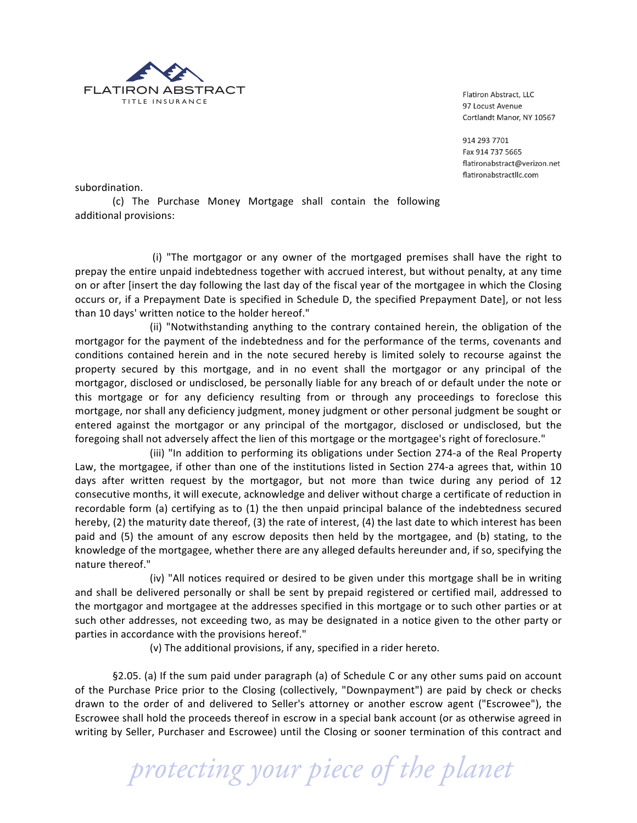

914 293 7701 Fax 914 737 5665 flatironabstract@verizon.net flatironabstractllc.com

subordination.

(c) The Purchase Money Mortgage shall contain the following additional provisions:

(i) "The mortgagor or any owner of the mortgaged premises shall have the right to prepay the entire unpaid indebtedness together with accrued interest, but without penalty, at any time on or after [insert the day following the last day of the fiscal year of the mortgagee in which the Closing occurs or, if a Prepayment Date is specified in Schedule D, the specified Prepayment Date], or not less than 10 days' written notice to the holder hereof."

(ii) "Notwithstanding anything to the contrary contained herein, the obligation of the mortgagor for the payment of the indebtedness and for the performance of the terms, covenants and conditions contained herein and in the note secured hereby is limited solely to recourse against the property secured by this mortgage, and in no event shall the mortgagor or any principal of the mortgagor, disclosed or undisclosed, be personally liable for any breach of or default under the note or this mortgage or for any deficiency resulting from or through any proceedings to foreclose this mortgage, nor shall any deficiency judgment, money judgment or other personal judgment be sought or entered against the mortgagor or any principal of the mortgagor, disclosed or undisclosed, but the foregoing shall not adversely affect the lien of this mortgage or the mortgagee's right of foreclosure."

(iii) "In addition to performing its obligations under Section 274-a of the Real Property Law, the mortgagee, if other than one of the institutions listed in Section 274-a agrees that, within 10 days after written request by the mortgagor, but not more than twice during any period of 12 consecutive months, it will execute, acknowledge and deliver without charge a certificate of reduction in recordable form (a) certifying as to (1) the then unpaid principal balance of the indebtedness secured hereby, (2) the maturity date thereof, (3) the rate of interest, (4) the last date to which interest has been paid and (5) the amount of any escrow deposits then held by the mortgagee, and (b) stating, to the knowledge of the mortgagee, whether there are any alleged defaults hereunder and, if so, specifying the nature thereof."

(iv) "All notices required or desired to be given under this mortgage shall be in writing and shall be delivered personally or shall be sent by prepaid registered or certified mail, addressed to the mortgagor and mortgagee at the addresses specified in this mortgage or to such other parties or at such other addresses, not exceeding two, as may be designated in a notice given to the other party or parties in accordance with the provisions hereof."

(v) The additional provisions, if any, specified in a rider hereto.

§2.05. (a) If the sum paid under paragraph (a) of Schedule C or any other sums paid on account of the Purchase Price prior to the Closing (collectively, "Downpayment") are paid by check or checks drawn to the order of and delivered to Seller's attorney or another escrow agent ("Escrowee"), the Escrowee shall hold the proceeds thereof in escrow in a special bank account (or as otherwise agreed in writing by Seller, Purchaser and Escrowee) until the Closing or sooner termination of this contract and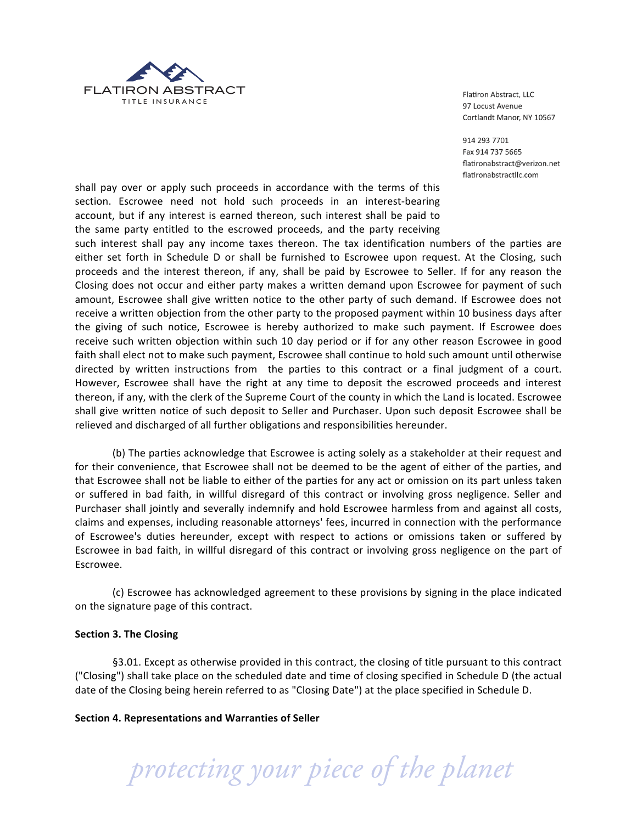

914 293 7701 Fax 914 737 5665 flatironabstract@verizon.net flatironabstractllc.com

shall pay over or apply such proceeds in accordance with the terms of this section. Escrowee need not hold such proceeds in an interest-bearing account, but if any interest is earned thereon, such interest shall be paid to the same party entitled to the escrowed proceeds, and the party receiving

such interest shall pay any income taxes thereon. The tax identification numbers of the parties are either set forth in Schedule D or shall be furnished to Escrowee upon request. At the Closing, such proceeds and the interest thereon, if any, shall be paid by Escrowee to Seller. If for any reason the Closing does not occur and either party makes a written demand upon Escrowee for payment of such amount, Escrowee shall give written notice to the other party of such demand. If Escrowee does not receive a written objection from the other party to the proposed payment within 10 business days after the giving of such notice, Escrowee is hereby authorized to make such payment. If Escrowee does receive such written objection within such 10 day period or if for any other reason Escrowee in good faith shall elect not to make such payment, Escrowee shall continue to hold such amount until otherwise directed by written instructions from the parties to this contract or a final judgment of a court. However, Escrowee shall have the right at any time to deposit the escrowed proceeds and interest thereon, if any, with the clerk of the Supreme Court of the county in which the Land is located. Escrowee shall give written notice of such deposit to Seller and Purchaser. Upon such deposit Escrowee shall be relieved and discharged of all further obligations and responsibilities hereunder.

(b) The parties acknowledge that Escrowee is acting solely as a stakeholder at their request and for their convenience, that Escrowee shall not be deemed to be the agent of either of the parties, and that Escrowee shall not be liable to either of the parties for any act or omission on its part unless taken or suffered in bad faith, in willful disregard of this contract or involving gross negligence. Seller and Purchaser shall jointly and severally indemnify and hold Escrowee harmless from and against all costs, claims and expenses, including reasonable attorneys' fees, incurred in connection with the performance of Escrowee's duties hereunder, except with respect to actions or omissions taken or suffered by Escrowee in bad faith, in willful disregard of this contract or involving gross negligence on the part of Escrowee.

(c) Escrowee has acknowledged agreement to these provisions by signing in the place indicated on the signature page of this contract.

# **Section 3. The Closing**

§3.01. Except as otherwise provided in this contract, the closing of title pursuant to this contract ("Closing") shall take place on the scheduled date and time of closing specified in Schedule D (the actual date of the Closing being herein referred to as "Closing Date") at the place specified in Schedule D.

Section 4. Representations and Warranties of Seller

 *protecting your piece of the planet*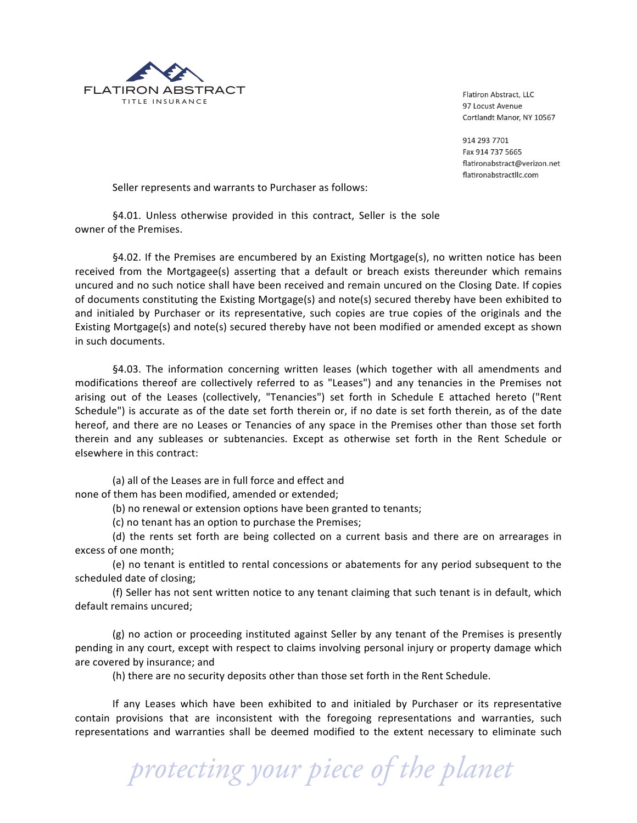

914 293 7701 Fax 914 737 5665 flatironabstract@verizon.net flatironabstractllc.com

Seller represents and warrants to Purchaser as follows:

§4.01. Unless otherwise provided in this contract, Seller is the sole owner of the Premises.

§4.02. If the Premises are encumbered by an Existing Mortgage(s), no written notice has been received from the Mortgagee(s) asserting that a default or breach exists thereunder which remains uncured and no such notice shall have been received and remain uncured on the Closing Date. If copies of documents constituting the Existing Mortgage(s) and note(s) secured thereby have been exhibited to and initialed by Purchaser or its representative, such copies are true copies of the originals and the Existing Mortgage(s) and note(s) secured thereby have not been modified or amended except as shown in such documents.

§4.03. The information concerning written leases (which together with all amendments and modifications thereof are collectively referred to as "Leases") and any tenancies in the Premises not arising out of the Leases (collectively, "Tenancies") set forth in Schedule E attached hereto ("Rent Schedule") is accurate as of the date set forth therein or, if no date is set forth therein, as of the date hereof, and there are no Leases or Tenancies of any space in the Premises other than those set forth therein and any subleases or subtenancies. Except as otherwise set forth in the Rent Schedule or elsewhere in this contract:

(a) all of the Leases are in full force and effect and none of them has been modified, amended or extended;

(b) no renewal or extension options have been granted to tenants;

(c) no tenant has an option to purchase the Premises;

(d) the rents set forth are being collected on a current basis and there are on arrearages in excess of one month;

(e) no tenant is entitled to rental concessions or abatements for any period subsequent to the scheduled date of closing;

(f) Seller has not sent written notice to any tenant claiming that such tenant is in default, which default remains uncured;

 $(g)$  no action or proceeding instituted against Seller by any tenant of the Premises is presently pending in any court, except with respect to claims involving personal injury or property damage which are covered by insurance; and

(h) there are no security deposits other than those set forth in the Rent Schedule.

If any Leases which have been exhibited to and initialed by Purchaser or its representative contain provisions that are inconsistent with the foregoing representations and warranties, such representations and warranties shall be deemed modified to the extent necessary to eliminate such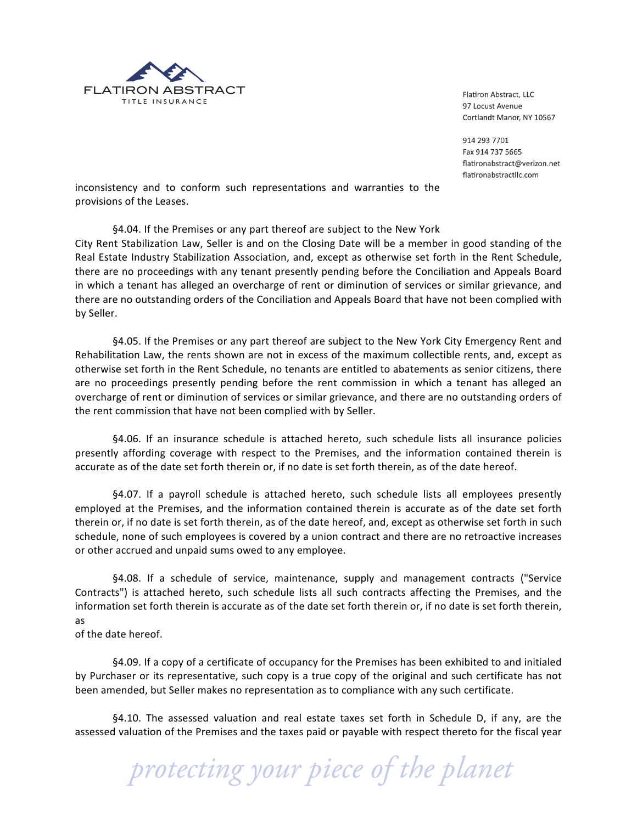

914 293 7701 Fax 914 737 5665 flatironabstract@verizon.net flatironabstractllc.com

inconsistency and to conform such representations and warranties to the provisions of the Leases.

§4.04. If the Premises or any part thereof are subject to the New York City Rent Stabilization Law, Seller is and on the Closing Date will be a member in good standing of the Real Estate Industry Stabilization Association, and, except as otherwise set forth in the Rent Schedule, there are no proceedings with any tenant presently pending before the Conciliation and Appeals Board in which a tenant has alleged an overcharge of rent or diminution of services or similar grievance, and there are no outstanding orders of the Conciliation and Appeals Board that have not been complied with by Seller.

§4.05. If the Premises or any part thereof are subject to the New York City Emergency Rent and Rehabilitation Law, the rents shown are not in excess of the maximum collectible rents, and, except as otherwise set forth in the Rent Schedule, no tenants are entitled to abatements as senior citizens, there are no proceedings presently pending before the rent commission in which a tenant has alleged an overcharge of rent or diminution of services or similar grievance, and there are no outstanding orders of the rent commission that have not been complied with by Seller.

§4.06. If an insurance schedule is attached hereto, such schedule lists all insurance policies presently affording coverage with respect to the Premises, and the information contained therein is accurate as of the date set forth therein or, if no date is set forth therein, as of the date hereof.

§4.07. If a payroll schedule is attached hereto, such schedule lists all employees presently employed at the Premises, and the information contained therein is accurate as of the date set forth therein or, if no date is set forth therein, as of the date hereof, and, except as otherwise set forth in such schedule, none of such employees is covered by a union contract and there are no retroactive increases or other accrued and unpaid sums owed to any employee.

§4.08. If a schedule of service, maintenance, supply and management contracts ("Service Contracts") is attached hereto, such schedule lists all such contracts affecting the Premises, and the information set forth therein is accurate as of the date set forth therein or, if no date is set forth therein, as

of the date hereof.

§4.09. If a copy of a certificate of occupancy for the Premises has been exhibited to and initialed by Purchaser or its representative, such copy is a true copy of the original and such certificate has not been amended, but Seller makes no representation as to compliance with any such certificate.

§4.10. The assessed valuation and real estate taxes set forth in Schedule D, if any, are the assessed valuation of the Premises and the taxes paid or payable with respect thereto for the fiscal year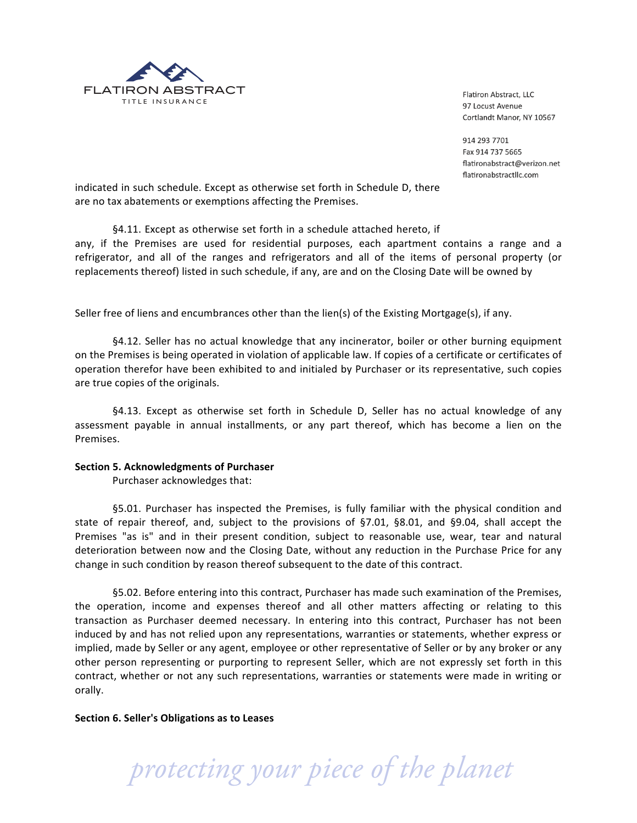

914 293 7701 Fax 914 737 5665 flatironabstract@verizon.net flatironabstractllc.com

indicated in such schedule. Except as otherwise set forth in Schedule D, there are no tax abatements or exemptions affecting the Premises.

§4.11. Except as otherwise set forth in a schedule attached hereto, if any, if the Premises are used for residential purposes, each apartment contains a range and a refrigerator, and all of the ranges and refrigerators and all of the items of personal property (or replacements thereof) listed in such schedule, if any, are and on the Closing Date will be owned by

Seller free of liens and encumbrances other than the lien(s) of the Existing Mortgage(s), if any.

§4.12. Seller has no actual knowledge that any incinerator, boiler or other burning equipment on the Premises is being operated in violation of applicable law. If copies of a certificate or certificates of operation therefor have been exhibited to and initialed by Purchaser or its representative, such copies are true copies of the originals.

§4.13. Except as otherwise set forth in Schedule D, Seller has no actual knowledge of any assessment payable in annual installments, or any part thereof, which has become a lien on the Premises.

#### **Section 5. Acknowledgments of Purchaser**

Purchaser acknowledges that:

§5.01. Purchaser has inspected the Premises, is fully familiar with the physical condition and state of repair thereof, and, subject to the provisions of  $$7.01$ ,  $$8.01$ , and  $$9.04$ , shall accept the Premises "as is" and in their present condition, subject to reasonable use, wear, tear and natural deterioration between now and the Closing Date, without any reduction in the Purchase Price for any change in such condition by reason thereof subsequent to the date of this contract.

§5.02. Before entering into this contract, Purchaser has made such examination of the Premises, the operation, income and expenses thereof and all other matters affecting or relating to this transaction as Purchaser deemed necessary. In entering into this contract, Purchaser has not been induced by and has not relied upon any representations, warranties or statements, whether express or implied, made by Seller or any agent, employee or other representative of Seller or by any broker or any other person representing or purporting to represent Seller, which are not expressly set forth in this contract, whether or not any such representations, warranties or statements were made in writing or orally.

Section 6. Seller's Obligations as to Leases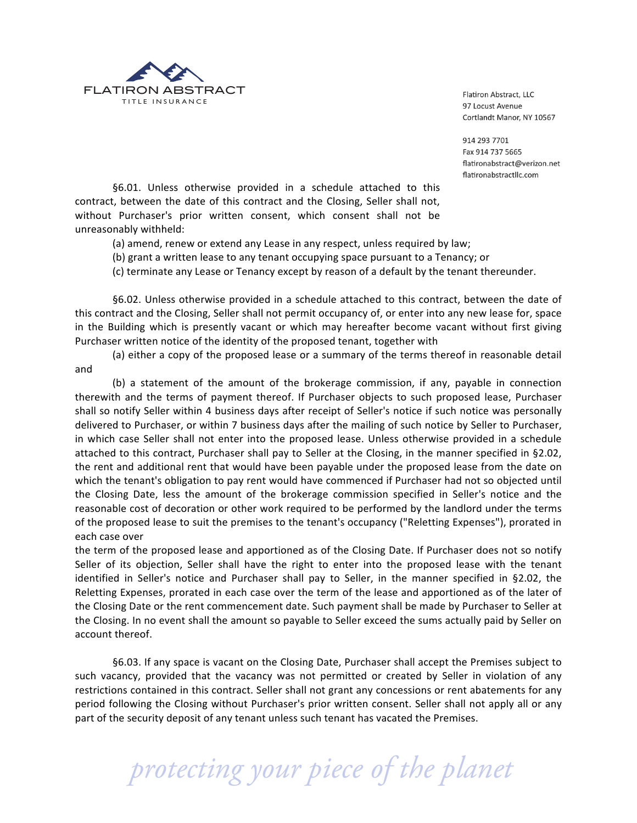

914 293 7701 Fax 914 737 5665 flatironabstract@verizon.net flatironabstractllc.com

§6.01. Unless otherwise provided in a schedule attached to this contract, between the date of this contract and the Closing, Seller shall not, without Purchaser's prior written consent, which consent shall not be unreasonably withheld:

(a) amend, renew or extend any Lease in any respect, unless required by law;

(b) grant a written lease to any tenant occupying space pursuant to a Tenancy; or

(c) terminate any Lease or Tenancy except by reason of a default by the tenant thereunder.

§6.02. Unless otherwise provided in a schedule attached to this contract, between the date of this contract and the Closing, Seller shall not permit occupancy of, or enter into any new lease for, space in the Building which is presently vacant or which may hereafter become vacant without first giving Purchaser written notice of the identity of the proposed tenant, together with

(a) either a copy of the proposed lease or a summary of the terms thereof in reasonable detail and

(b) a statement of the amount of the brokerage commission, if any, payable in connection therewith and the terms of payment thereof. If Purchaser objects to such proposed lease, Purchaser shall so notify Seller within 4 business days after receipt of Seller's notice if such notice was personally delivered to Purchaser, or within 7 business days after the mailing of such notice by Seller to Purchaser, in which case Seller shall not enter into the proposed lease. Unless otherwise provided in a schedule attached to this contract, Purchaser shall pay to Seller at the Closing, in the manner specified in §2.02, the rent and additional rent that would have been payable under the proposed lease from the date on which the tenant's obligation to pay rent would have commenced if Purchaser had not so objected until the Closing Date, less the amount of the brokerage commission specified in Seller's notice and the reasonable cost of decoration or other work required to be performed by the landlord under the terms of the proposed lease to suit the premises to the tenant's occupancy ("Reletting Expenses"), prorated in each case over

the term of the proposed lease and apportioned as of the Closing Date. If Purchaser does not so notify Seller of its objection, Seller shall have the right to enter into the proposed lease with the tenant identified in Seller's notice and Purchaser shall pay to Seller, in the manner specified in  $\S 2.02$ , the Reletting Expenses, prorated in each case over the term of the lease and apportioned as of the later of the Closing Date or the rent commencement date. Such payment shall be made by Purchaser to Seller at the Closing. In no event shall the amount so payable to Seller exceed the sums actually paid by Seller on account thereof.

§6.03. If any space is vacant on the Closing Date, Purchaser shall accept the Premises subject to such vacancy, provided that the vacancy was not permitted or created by Seller in violation of any restrictions contained in this contract. Seller shall not grant any concessions or rent abatements for any period following the Closing without Purchaser's prior written consent. Seller shall not apply all or any part of the security deposit of any tenant unless such tenant has vacated the Premises.

 *protecting your piece of the planet*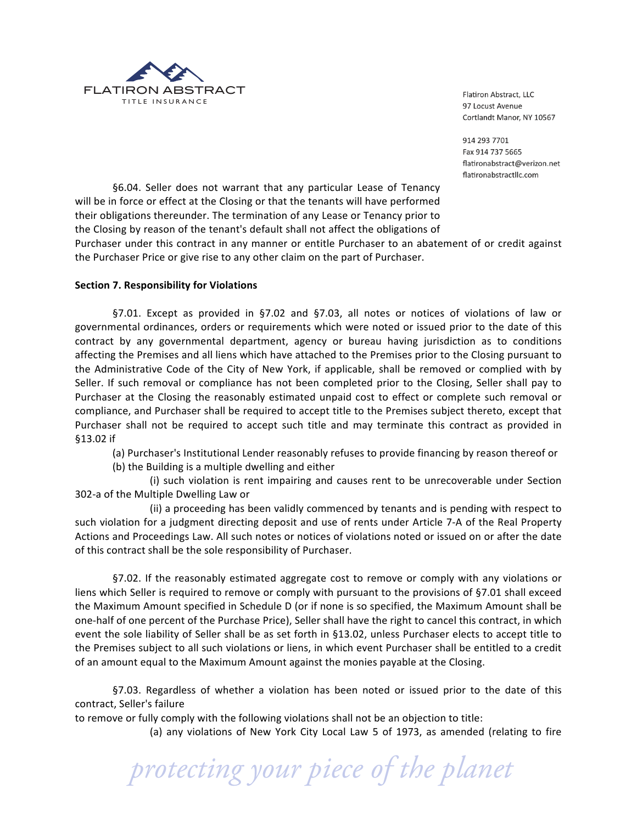

914 293 7701 Fax 914 737 5665 flatironabstract@verizon.net flatironabstractllc.com

§6.04. Seller does not warrant that any particular Lease of Tenancy will be in force or effect at the Closing or that the tenants will have performed their obligations thereunder. The termination of any Lease or Tenancy prior to the Closing by reason of the tenant's default shall not affect the obligations of

Purchaser under this contract in any manner or entitle Purchaser to an abatement of or credit against the Purchaser Price or give rise to any other claim on the part of Purchaser.

# **Section 7. Responsibility for Violations**

§7.01. Except as provided in §7.02 and §7.03, all notes or notices of violations of law or governmental ordinances, orders or requirements which were noted or issued prior to the date of this contract by any governmental department, agency or bureau having jurisdiction as to conditions affecting the Premises and all liens which have attached to the Premises prior to the Closing pursuant to the Administrative Code of the City of New York, if applicable, shall be removed or complied with by Seller. If such removal or compliance has not been completed prior to the Closing, Seller shall pay to Purchaser at the Closing the reasonably estimated unpaid cost to effect or complete such removal or compliance, and Purchaser shall be required to accept title to the Premises subject thereto, except that Purchaser shall not be required to accept such title and may terminate this contract as provided in §13.02 if

(a) Purchaser's Institutional Lender reasonably refuses to provide financing by reason thereof or

(b) the Building is a multiple dwelling and either

(i) such violation is rent impairing and causes rent to be unrecoverable under Section 302-a of the Multiple Dwelling Law or

(ii) a proceeding has been validly commenced by tenants and is pending with respect to such violation for a judgment directing deposit and use of rents under Article 7-A of the Real Property Actions and Proceedings Law. All such notes or notices of violations noted or issued on or after the date of this contract shall be the sole responsibility of Purchaser.

§7.02. If the reasonably estimated aggregate cost to remove or comply with any violations or liens which Seller is required to remove or comply with pursuant to the provisions of §7.01 shall exceed the Maximum Amount specified in Schedule D (or if none is so specified, the Maximum Amount shall be one-half of one percent of the Purchase Price), Seller shall have the right to cancel this contract, in which event the sole liability of Seller shall be as set forth in §13.02, unless Purchaser elects to accept title to the Premises subject to all such violations or liens, in which event Purchaser shall be entitled to a credit of an amount equal to the Maximum Amount against the monies payable at the Closing.

§7.03. Regardless of whether a violation has been noted or issued prior to the date of this contract, Seller's failure

to remove or fully comply with the following violations shall not be an objection to title:

(a) any violations of New York City Local Law 5 of 1973, as amended (relating to fire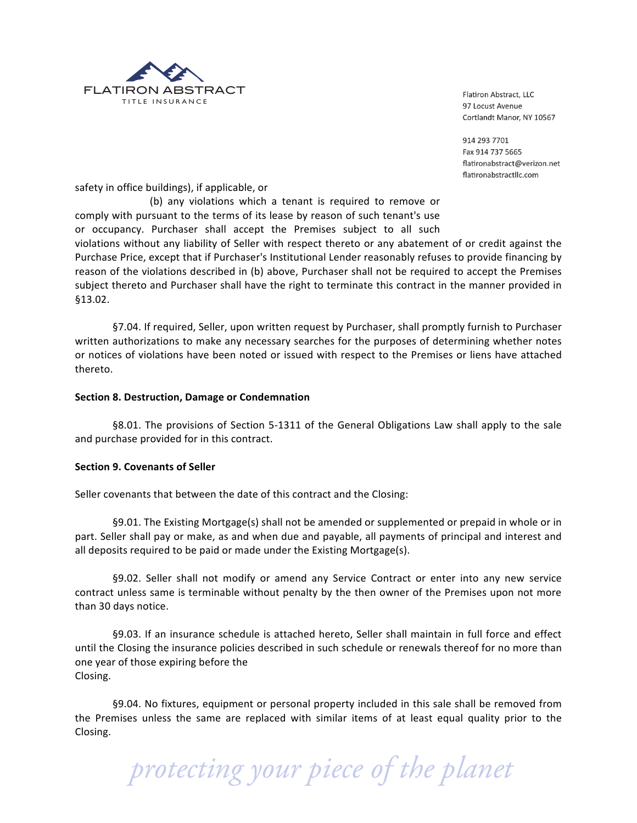

914 293 7701 Fax 914 737 5665 flatironabstract@verizon.net flatironabstractllc.com

safety in office buildings), if applicable, or

(b) any violations which a tenant is required to remove or comply with pursuant to the terms of its lease by reason of such tenant's use or occupancy. Purchaser shall accept the Premises subject to all such

violations without any liability of Seller with respect thereto or any abatement of or credit against the Purchase Price, except that if Purchaser's Institutional Lender reasonably refuses to provide financing by reason of the violations described in (b) above, Purchaser shall not be required to accept the Premises subject thereto and Purchaser shall have the right to terminate this contract in the manner provided in §13.02.

§7.04. If required, Seller, upon written request by Purchaser, shall promptly furnish to Purchaser written authorizations to make any necessary searches for the purposes of determining whether notes or notices of violations have been noted or issued with respect to the Premises or liens have attached thereto.

#### **Section 8. Destruction, Damage or Condemnation**

§8.01. The provisions of Section 5-1311 of the General Obligations Law shall apply to the sale and purchase provided for in this contract.

#### **Section 9. Covenants of Seller**

Seller covenants that between the date of this contract and the Closing:

§9.01. The Existing Mortgage(s) shall not be amended or supplemented or prepaid in whole or in part. Seller shall pay or make, as and when due and payable, all payments of principal and interest and all deposits required to be paid or made under the Existing Mortgage(s).

§9.02. Seller shall not modify or amend any Service Contract or enter into any new service contract unless same is terminable without penalty by the then owner of the Premises upon not more than 30 days notice.

§9.03. If an insurance schedule is attached hereto, Seller shall maintain in full force and effect until the Closing the insurance policies described in such schedule or renewals thereof for no more than one year of those expiring before the Closing.

§9.04. No fixtures, equipment or personal property included in this sale shall be removed from the Premises unless the same are replaced with similar items of at least equal quality prior to the Closing.

 *protecting your piece of the planet*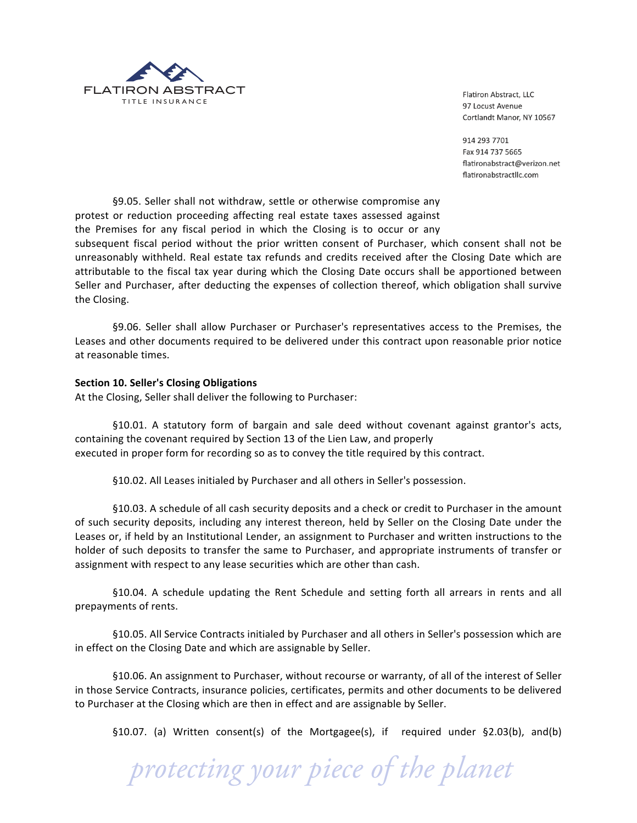

914 293 7701 Fax 914 737 5665 flatironabstract@verizon.net flatironabstractllc.com

§9.05. Seller shall not withdraw, settle or otherwise compromise any protest or reduction proceeding affecting real estate taxes assessed against the Premises for any fiscal period in which the Closing is to occur or any

subsequent fiscal period without the prior written consent of Purchaser, which consent shall not be unreasonably withheld. Real estate tax refunds and credits received after the Closing Date which are attributable to the fiscal tax year during which the Closing Date occurs shall be apportioned between Seller and Purchaser, after deducting the expenses of collection thereof, which obligation shall survive the Closing.

§9.06. Seller shall allow Purchaser or Purchaser's representatives access to the Premises, the Leases and other documents required to be delivered under this contract upon reasonable prior notice at reasonable times.

# **Section 10. Seller's Closing Obligations**

At the Closing, Seller shall deliver the following to Purchaser:

§10.01. A statutory form of bargain and sale deed without covenant against grantor's acts, containing the covenant required by Section 13 of the Lien Law, and properly executed in proper form for recording so as to convey the title required by this contract.

§10.02. All Leases initialed by Purchaser and all others in Seller's possession.

§10.03. A schedule of all cash security deposits and a check or credit to Purchaser in the amount of such security deposits, including any interest thereon, held by Seller on the Closing Date under the Leases or, if held by an Institutional Lender, an assignment to Purchaser and written instructions to the holder of such deposits to transfer the same to Purchaser, and appropriate instruments of transfer or assignment with respect to any lease securities which are other than cash.

§10.04. A schedule updating the Rent Schedule and setting forth all arrears in rents and all prepayments of rents.

§10.05. All Service Contracts initialed by Purchaser and all others in Seller's possession which are in effect on the Closing Date and which are assignable by Seller.

§10.06. An assignment to Purchaser, without recourse or warranty, of all of the interest of Seller in those Service Contracts, insurance policies, certificates, permits and other documents to be delivered to Purchaser at the Closing which are then in effect and are assignable by Seller.

 *protecting your piece of the planet*

§10.07. (a) Written consent(s) of the Mortgagee(s), if required under §2.03(b), and(b)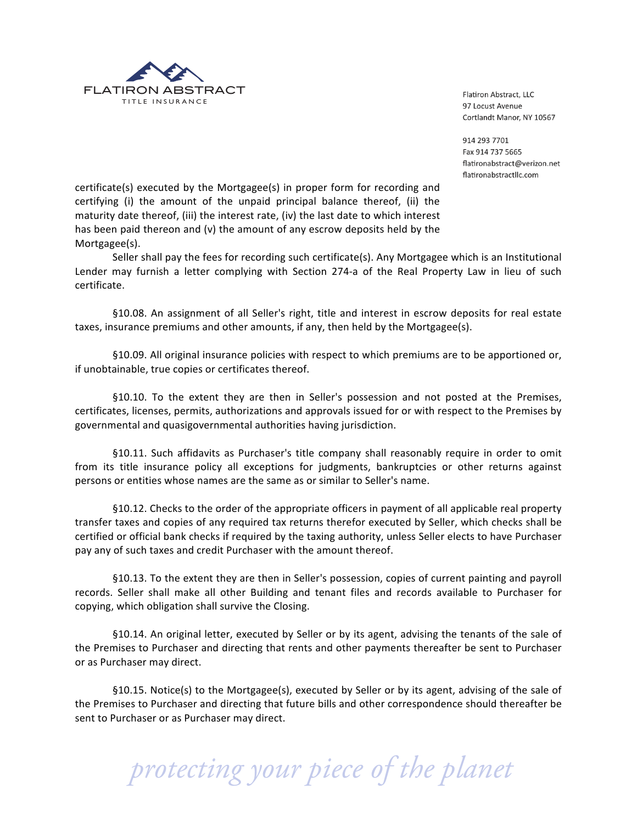

914 293 7701 Fax 914 737 5665 flatironabstract@verizon.net flatironabstractllc.com

certificate(s) executed by the Mortgagee(s) in proper form for recording and certifying (i) the amount of the unpaid principal balance thereof, (ii) the maturity date thereof, (iii) the interest rate, (iv) the last date to which interest has been paid thereon and (v) the amount of any escrow deposits held by the Mortgagee(s).

Seller shall pay the fees for recording such certificate(s). Any Mortgagee which is an Institutional Lender may furnish a letter complying with Section 274-a of the Real Property Law in lieu of such certificate.

§10.08. An assignment of all Seller's right, title and interest in escrow deposits for real estate taxes, insurance premiums and other amounts, if any, then held by the Mortgagee(s).

§10.09. All original insurance policies with respect to which premiums are to be apportioned or, if unobtainable, true copies or certificates thereof.

§10.10. To the extent they are then in Seller's possession and not posted at the Premises, certificates, licenses, permits, authorizations and approvals issued for or with respect to the Premises by governmental and quasigovernmental authorities having jurisdiction.

§10.11. Such affidavits as Purchaser's title company shall reasonably require in order to omit from its title insurance policy all exceptions for judgments, bankruptcies or other returns against persons or entities whose names are the same as or similar to Seller's name.

§10.12. Checks to the order of the appropriate officers in payment of all applicable real property transfer taxes and copies of any required tax returns therefor executed by Seller, which checks shall be certified or official bank checks if required by the taxing authority, unless Seller elects to have Purchaser pay any of such taxes and credit Purchaser with the amount thereof.

§10.13. To the extent they are then in Seller's possession, copies of current painting and payroll records. Seller shall make all other Building and tenant files and records available to Purchaser for copying, which obligation shall survive the Closing.

§10.14. An original letter, executed by Seller or by its agent, advising the tenants of the sale of the Premises to Purchaser and directing that rents and other payments thereafter be sent to Purchaser or as Purchaser may direct.

§10.15. Notice(s) to the Mortgagee(s), executed by Seller or by its agent, advising of the sale of the Premises to Purchaser and directing that future bills and other correspondence should thereafter be sent to Purchaser or as Purchaser may direct.

 *protecting your piece of the planet*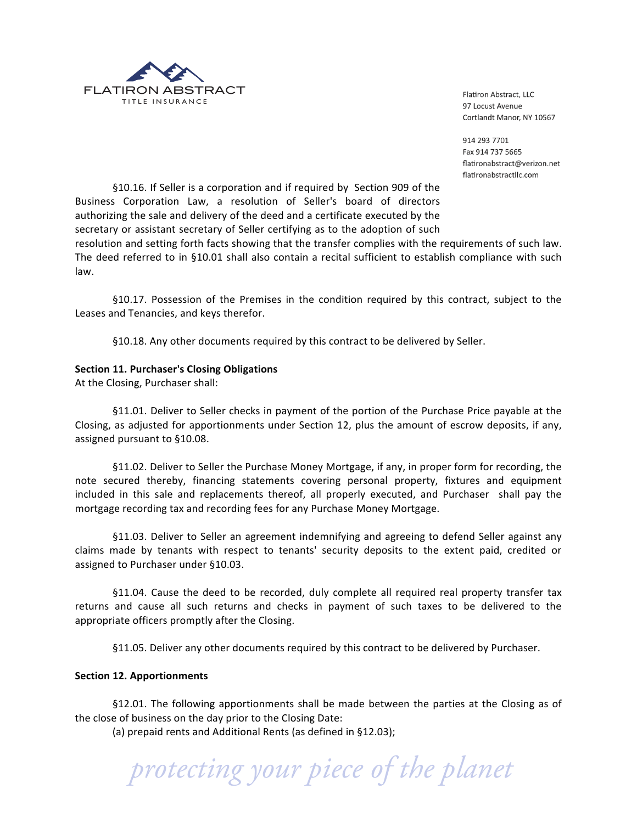

914 293 7701 Fax 914 737 5665 flatironabstract@verizon.net flatironabstractllc.com

§10.16. If Seller is a corporation and if required by Section 909 of the Business Corporation Law, a resolution of Seller's board of directors authorizing the sale and delivery of the deed and a certificate executed by the secretary or assistant secretary of Seller certifying as to the adoption of such

resolution and setting forth facts showing that the transfer complies with the requirements of such law. The deed referred to in §10.01 shall also contain a recital sufficient to establish compliance with such law.

§10.17. Possession of the Premises in the condition required by this contract, subject to the Leases and Tenancies, and keys therefor.

§10.18. Any other documents required by this contract to be delivered by Seller.

# Section 11. Purchaser's Closing Obligations

At the Closing, Purchaser shall:

§11.01. Deliver to Seller checks in payment of the portion of the Purchase Price payable at the Closing, as adjusted for apportionments under Section 12, plus the amount of escrow deposits, if any, assigned pursuant to §10.08.

§11.02. Deliver to Seller the Purchase Money Mortgage, if any, in proper form for recording, the note secured thereby, financing statements covering personal property, fixtures and equipment included in this sale and replacements thereof, all properly executed, and Purchaser shall pay the mortgage recording tax and recording fees for any Purchase Money Mortgage.

§11.03. Deliver to Seller an agreement indemnifying and agreeing to defend Seller against any claims made by tenants with respect to tenants' security deposits to the extent paid, credited or assigned to Purchaser under §10.03.

§11.04. Cause the deed to be recorded, duly complete all required real property transfer tax returns and cause all such returns and checks in payment of such taxes to be delivered to the appropriate officers promptly after the Closing.

§11.05. Deliver any other documents required by this contract to be delivered by Purchaser.

#### Section 12. Apportionments

§12.01. The following apportionments shall be made between the parties at the Closing as of the close of business on the day prior to the Closing Date:

(a) prepaid rents and Additional Rents (as defined in §12.03);

 *protecting your piece of the planet*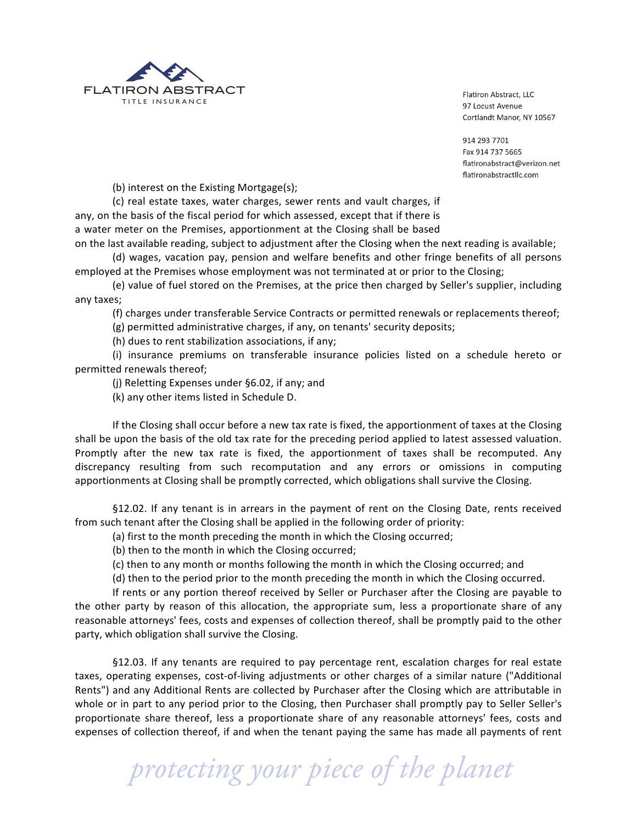

914 293 7701 Fax 914 737 5665 flatironabstract@verizon.net flatironabstractllc.com

(b) interest on the Existing Mortgage(s);

(c) real estate taxes, water charges, sewer rents and vault charges, if any, on the basis of the fiscal period for which assessed, except that if there is a water meter on the Premises, apportionment at the Closing shall be based

on the last available reading, subject to adjustment after the Closing when the next reading is available; (d) wages, vacation pay, pension and welfare benefits and other fringe benefits of all persons

employed at the Premises whose employment was not terminated at or prior to the Closing;

(e) value of fuel stored on the Premises, at the price then charged by Seller's supplier, including any taxes;

(f) charges under transferable Service Contracts or permitted renewals or replacements thereof;

(g) permitted administrative charges, if any, on tenants' security deposits;

(h) dues to rent stabilization associations, if any;

(i) insurance premiums on transferable insurance policies listed on a schedule hereto or permitted renewals thereof;

(j) Reletting Expenses under §6.02, if any; and

(k) any other items listed in Schedule D.

If the Closing shall occur before a new tax rate is fixed, the apportionment of taxes at the Closing shall be upon the basis of the old tax rate for the preceding period applied to latest assessed valuation. Promptly after the new tax rate is fixed, the apportionment of taxes shall be recomputed. Any discrepancy resulting from such recomputation and any errors or omissions in computing apportionments at Closing shall be promptly corrected, which obligations shall survive the Closing.

§12.02. If any tenant is in arrears in the payment of rent on the Closing Date, rents received from such tenant after the Closing shall be applied in the following order of priority:

(a) first to the month preceding the month in which the Closing occurred;

(b) then to the month in which the Closing occurred;

(c) then to any month or months following the month in which the Closing occurred; and

(d) then to the period prior to the month preceding the month in which the Closing occurred.

If rents or any portion thereof received by Seller or Purchaser after the Closing are payable to the other party by reason of this allocation, the appropriate sum, less a proportionate share of any reasonable attorneys' fees, costs and expenses of collection thereof, shall be promptly paid to the other party, which obligation shall survive the Closing.

§12.03. If any tenants are required to pay percentage rent, escalation charges for real estate taxes, operating expenses, cost-of-living adjustments or other charges of a similar nature ("Additional Rents") and any Additional Rents are collected by Purchaser after the Closing which are attributable in whole or in part to any period prior to the Closing, then Purchaser shall promptly pay to Seller Seller's proportionate share thereof, less a proportionate share of any reasonable attorneys' fees, costs and expenses of collection thereof, if and when the tenant paying the same has made all payments of rent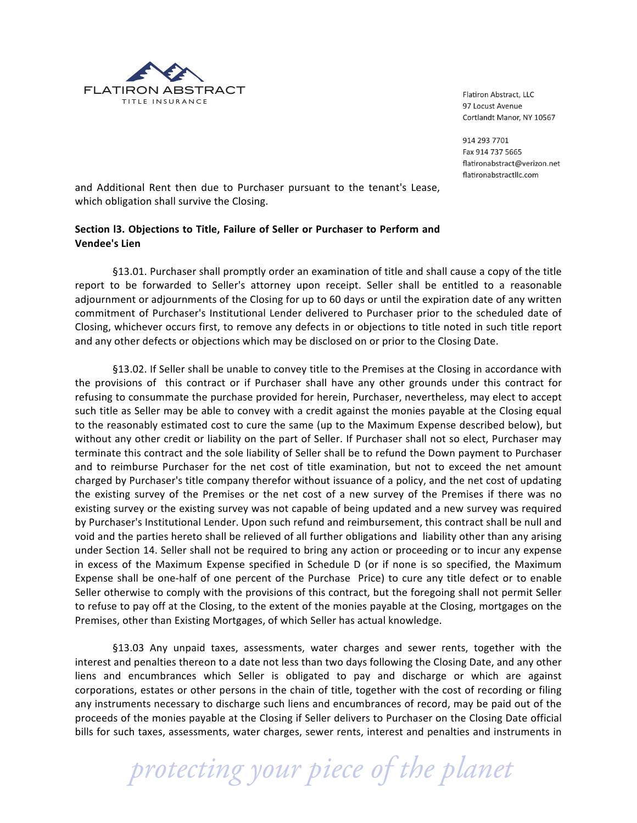

914 293 7701 Fax 914 737 5665 flatironabstract@verizon.net flatironabstractllc.com

and Additional Rent then due to Purchaser pursuant to the tenant's Lease, which obligation shall survive the Closing.

# Section I3. Objections to Title, Failure of Seller or Purchaser to Perform and **Vendee's Lien**

§13.01. Purchaser shall promptly order an examination of title and shall cause a copy of the title report to be forwarded to Seller's attorney upon receipt. Seller shall be entitled to a reasonable adjournment or adjournments of the Closing for up to 60 days or until the expiration date of any written commitment of Purchaser's Institutional Lender delivered to Purchaser prior to the scheduled date of Closing, whichever occurs first, to remove any defects in or objections to title noted in such title report and any other defects or objections which may be disclosed on or prior to the Closing Date.

§13.02. If Seller shall be unable to convey title to the Premises at the Closing in accordance with the provisions of this contract or if Purchaser shall have any other grounds under this contract for refusing to consummate the purchase provided for herein, Purchaser, nevertheless, may elect to accept such title as Seller may be able to convey with a credit against the monies payable at the Closing equal to the reasonably estimated cost to cure the same (up to the Maximum Expense described below), but without any other credit or liability on the part of Seller. If Purchaser shall not so elect, Purchaser may terminate this contract and the sole liability of Seller shall be to refund the Down payment to Purchaser and to reimburse Purchaser for the net cost of title examination, but not to exceed the net amount charged by Purchaser's title company therefor without issuance of a policy, and the net cost of updating the existing survey of the Premises or the net cost of a new survey of the Premises if there was no existing survey or the existing survey was not capable of being updated and a new survey was required by Purchaser's Institutional Lender. Upon such refund and reimbursement, this contract shall be null and void and the parties hereto shall be relieved of all further obligations and liability other than any arising under Section 14. Seller shall not be required to bring any action or proceeding or to incur any expense in excess of the Maximum Expense specified in Schedule D (or if none is so specified, the Maximum Expense shall be one-half of one percent of the Purchase Price) to cure any title defect or to enable Seller otherwise to comply with the provisions of this contract, but the foregoing shall not permit Seller to refuse to pay off at the Closing, to the extent of the monies payable at the Closing, mortgages on the Premises, other than Existing Mortgages, of which Seller has actual knowledge.

§13.03 Any unpaid taxes, assessments, water charges and sewer rents, together with the interest and penalties thereon to a date not less than two days following the Closing Date, and any other liens and encumbrances which Seller is obligated to pay and discharge or which are against corporations, estates or other persons in the chain of title, together with the cost of recording or filing any instruments necessary to discharge such liens and encumbrances of record, may be paid out of the proceeds of the monies payable at the Closing if Seller delivers to Purchaser on the Closing Date official bills for such taxes, assessments, water charges, sewer rents, interest and penalties and instruments in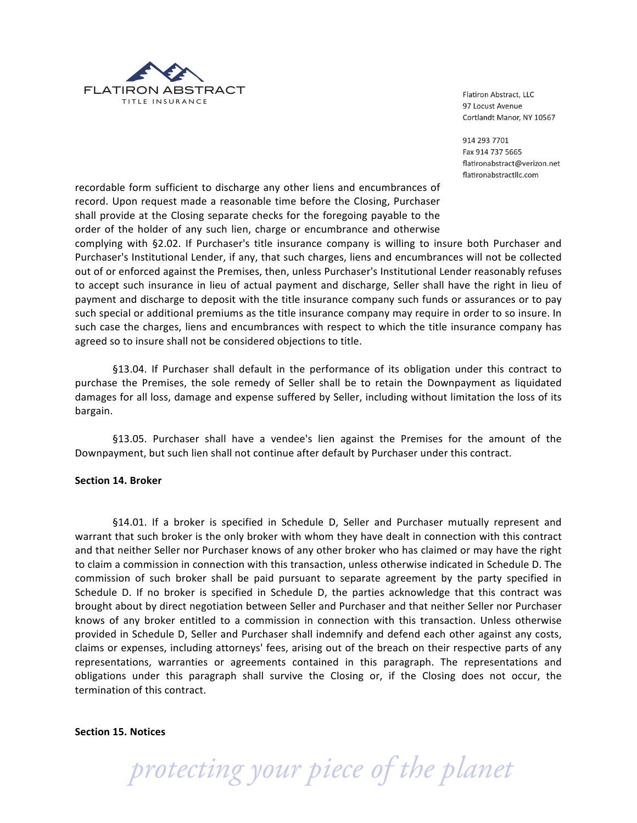

914 293 7701 Fax 914 737 5665 flatironabstract@verizon.net flatironabstractllc.com

recordable form sufficient to discharge any other liens and encumbrances of record. Upon request made a reasonable time before the Closing, Purchaser shall provide at the Closing separate checks for the foregoing payable to the order of the holder of any such lien, charge or encumbrance and otherwise

complying with §2.02. If Purchaser's title insurance company is willing to insure both Purchaser and Purchaser's Institutional Lender, if any, that such charges, liens and encumbrances will not be collected out of or enforced against the Premises, then, unless Purchaser's Institutional Lender reasonably refuses to accept such insurance in lieu of actual payment and discharge, Seller shall have the right in lieu of payment and discharge to deposit with the title insurance company such funds or assurances or to pay such special or additional premiums as the title insurance company may require in order to so insure. In such case the charges, liens and encumbrances with respect to which the title insurance company has agreed so to insure shall not be considered objections to title.

§13.04. If Purchaser shall default in the performance of its obligation under this contract to purchase the Premises, the sole remedy of Seller shall be to retain the Downpayment as liquidated damages for all loss, damage and expense suffered by Seller, including without limitation the loss of its bargain.

§13.05. Purchaser shall have a vendee's lien against the Premises for the amount of the Downpayment, but such lien shall not continue after default by Purchaser under this contract.

#### Section 14. Broker

§14.01. If a broker is specified in Schedule D, Seller and Purchaser mutually represent and warrant that such broker is the only broker with whom they have dealt in connection with this contract and that neither Seller nor Purchaser knows of any other broker who has claimed or may have the right to claim a commission in connection with this transaction, unless otherwise indicated in Schedule D. The commission of such broker shall be paid pursuant to separate agreement by the party specified in Schedule D. If no broker is specified in Schedule D, the parties acknowledge that this contract was brought about by direct negotiation between Seller and Purchaser and that neither Seller nor Purchaser knows of any broker entitled to a commission in connection with this transaction. Unless otherwise provided in Schedule D, Seller and Purchaser shall indemnify and defend each other against any costs, claims or expenses, including attorneys' fees, arising out of the breach on their respective parts of any representations, warranties or agreements contained in this paragraph. The representations and obligations under this paragraph shall survive the Closing or, if the Closing does not occur, the termination of this contract.

Section 15. Notices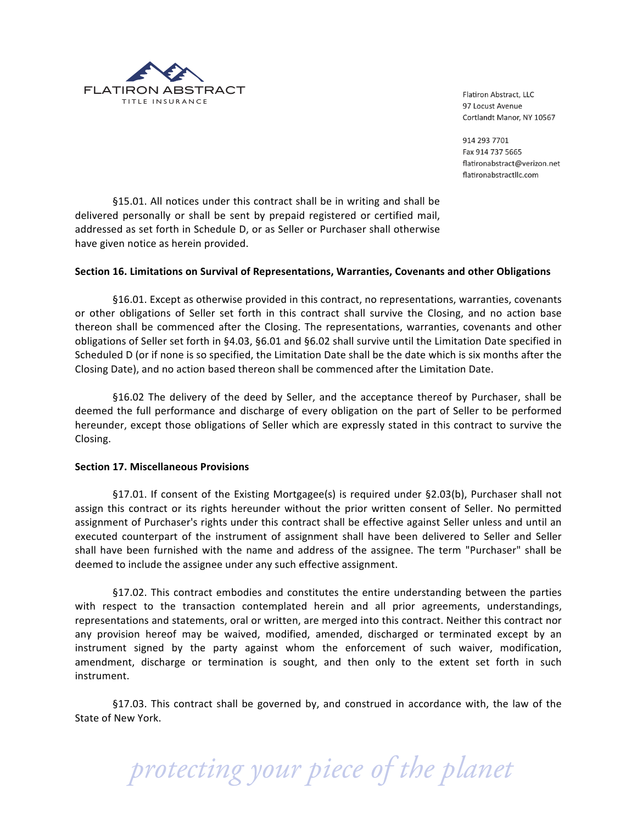

914 293 7701 Fax 914 737 5665 flatironabstract@verizon.net flatironabstractllc.com

§15.01. All notices under this contract shall be in writing and shall be delivered personally or shall be sent by prepaid registered or certified mail, addressed as set forth in Schedule D, or as Seller or Purchaser shall otherwise have given notice as herein provided.

# Section 16. Limitations on Survival of Representations, Warranties, Covenants and other Obligations

§16.01. Except as otherwise provided in this contract, no representations, warranties, covenants or other obligations of Seller set forth in this contract shall survive the Closing, and no action base thereon shall be commenced after the Closing. The representations, warranties, covenants and other obligations of Seller set forth in §4.03, §6.01 and §6.02 shall survive until the Limitation Date specified in Scheduled D (or if none is so specified, the Limitation Date shall be the date which is six months after the Closing Date), and no action based thereon shall be commenced after the Limitation Date.

§16.02 The delivery of the deed by Seller, and the acceptance thereof by Purchaser, shall be deemed the full performance and discharge of every obligation on the part of Seller to be performed hereunder, except those obligations of Seller which are expressly stated in this contract to survive the Closing.

#### **Section 17. Miscellaneous Provisions**

§17.01. If consent of the Existing Mortgagee(s) is required under §2.03(b), Purchaser shall not assign this contract or its rights hereunder without the prior written consent of Seller. No permitted assignment of Purchaser's rights under this contract shall be effective against Seller unless and until an executed counterpart of the instrument of assignment shall have been delivered to Seller and Seller shall have been furnished with the name and address of the assignee. The term "Purchaser" shall be deemed to include the assignee under any such effective assignment.

§17.02. This contract embodies and constitutes the entire understanding between the parties with respect to the transaction contemplated herein and all prior agreements, understandings, representations and statements, oral or written, are merged into this contract. Neither this contract nor any provision hereof may be waived, modified, amended, discharged or terminated except by an instrument signed by the party against whom the enforcement of such waiver, modification, amendment, discharge or termination is sought, and then only to the extent set forth in such instrument.

§17.03. This contract shall be governed by, and construed in accordance with, the law of the State of New York.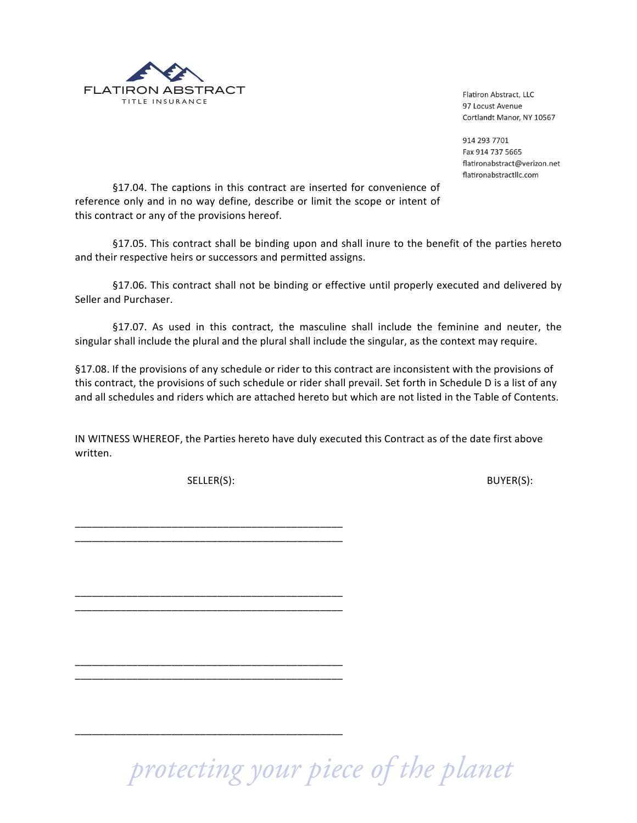

914 293 7701 Fax 914 737 5665 flatironabstract@verizon.net flatironabstractllc.com

§17.04. The captions in this contract are inserted for convenience of reference only and in no way define, describe or limit the scope or intent of this contract or any of the provisions hereof.

§17.05. This contract shall be binding upon and shall inure to the benefit of the parties hereto and their respective heirs or successors and permitted assigns.

§17.06. This contract shall not be binding or effective until properly executed and delivered by Seller and Purchaser.

§17.07. As used in this contract, the masculine shall include the feminine and neuter, the singular shall include the plural and the plural shall include the singular, as the context may require.

§17.08. If the provisions of any schedule or rider to this contract are inconsistent with the provisions of this contract, the provisions of such schedule or rider shall prevail. Set forth in Schedule D is a list of any and all schedules and riders which are attached hereto but which are not listed in the Table of Contents.

IN WITNESS WHEREOF, the Parties hereto have duly executed this Contract as of the date first above written.

SELLER(S):

BUYER(S):